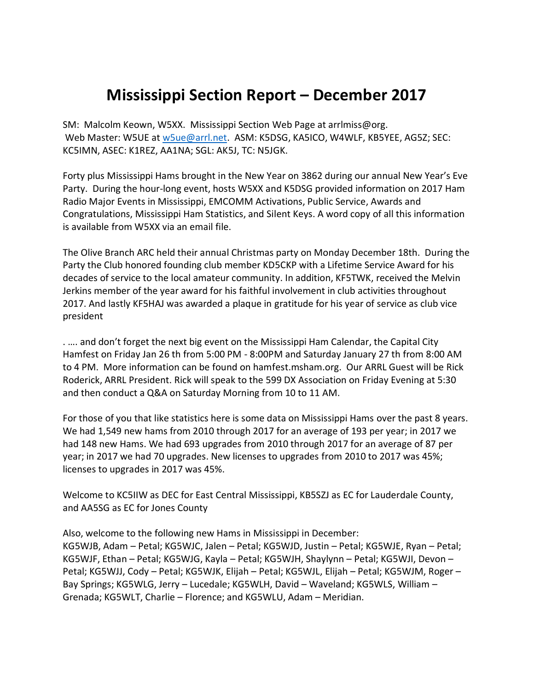## **Mississippi Section Report – December 2017**

SM: Malcolm Keown, W5XX. Mississippi Section Web Page at arrlmiss@org. Web Master: W5UE at [w5ue@arrl.net.](mailto:w5ue@arrl.net) ASM: K5DSG, KA5ICO, W4WLF, KB5YEE, AG5Z; SEC: KC5IMN, ASEC: K1REZ, AA1NA; SGL: AK5J, TC: N5JGK.

Forty plus Mississippi Hams brought in the New Year on 3862 during our annual New Year's Eve Party. During the hour-long event, hosts W5XX and K5DSG provided information on 2017 Ham Radio Major Events in Mississippi, EMCOMM Activations, Public Service, Awards and Congratulations, Mississippi Ham Statistics, and Silent Keys. A word copy of all this information is available from W5XX via an email file.

The Olive Branch ARC held their annual Christmas party on Monday December 18th. During the Party the Club honored founding club member KD5CKP with a Lifetime Service Award for his decades of service to the local amateur community. In addition, KF5TWK, received the Melvin Jerkins member of the year award for his faithful involvement in club activities throughout 2017. And lastly KF5HAJ was awarded a plaque in gratitude for his year of service as club vice president

. …. and don't forget the next big event on the Mississippi Ham Calendar, the Capital City Hamfest on Friday Jan 26 th from 5:00 PM - 8:00PM and Saturday January 27 th from 8:00 AM to 4 PM. More information can be found on hamfest.msham.org. Our ARRL Guest will be Rick Roderick, ARRL President. Rick will speak to the 599 DX Association on Friday Evening at 5:30 and then conduct a Q&A on Saturday Morning from 10 to 11 AM.

For those of you that like statistics here is some data on Mississippi Hams over the past 8 years. We had 1,549 new hams from 2010 through 2017 for an average of 193 per year; in 2017 we had 148 new Hams. We had 693 upgrades from 2010 through 2017 for an average of 87 per year; in 2017 we had 70 upgrades. New licenses to upgrades from 2010 to 2017 was 45%; licenses to upgrades in 2017 was 45%.

Welcome to KC5IIW as DEC for East Central Mississippi, KB5SZJ as EC for Lauderdale County, and AA5SG as EC for Jones County

Also, welcome to the following new Hams in Mississippi in December: KG5WJB, Adam – Petal; KG5WJC, Jalen – Petal; KG5WJD, Justin – Petal; KG5WJE, Ryan – Petal; KG5WJF, Ethan – Petal; KG5WJG, Kayla – Petal; KG5WJH, Shaylynn – Petal; KG5WJI, Devon – Petal; KG5WJJ, Cody – Petal; KG5WJK, Elijah – Petal; KG5WJL, Elijah – Petal; KG5WJM, Roger – Bay Springs; KG5WLG, Jerry – Lucedale; KG5WLH, David – Waveland; KG5WLS, William – Grenada; KG5WLT, Charlie – Florence; and KG5WLU, Adam – Meridian.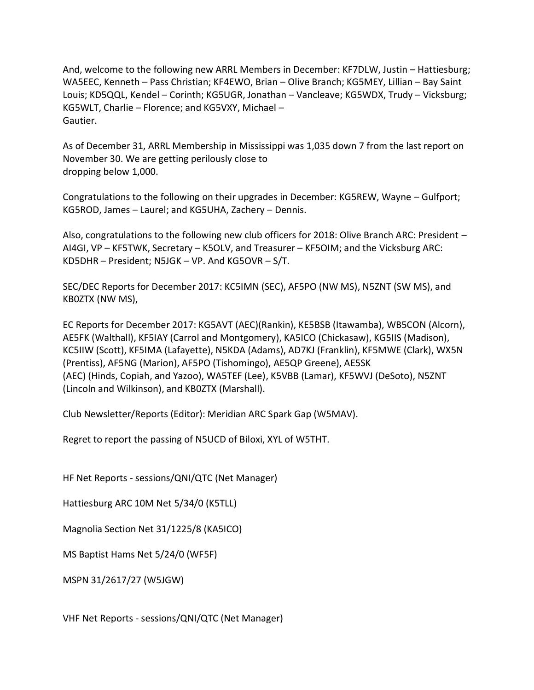And, welcome to the following new ARRL Members in December: KF7DLW, Justin – Hattiesburg; WA5EEC, Kenneth – Pass Christian; KF4EWO, Brian – Olive Branch; KG5MEY, Lillian – Bay Saint Louis; KD5QQL, Kendel – Corinth; KG5UGR, Jonathan – Vancleave; KG5WDX, Trudy – Vicksburg; KG5WLT, Charlie – Florence; and KG5VXY, Michael – Gautier.

As of December 31, ARRL Membership in Mississippi was 1,035 down 7 from the last report on November 30. We are getting perilously close to dropping below 1,000.

Congratulations to the following on their upgrades in December: KG5REW, Wayne – Gulfport; KG5ROD, James – Laurel; and KG5UHA, Zachery – Dennis.

Also, congratulations to the following new club officers for 2018: Olive Branch ARC: President – AI4GI, VP – KF5TWK, Secretary – K5OLV, and Treasurer – KF5OIM; and the Vicksburg ARC: KD5DHR – President; N5JGK – VP. And KG5OVR – S/T.

SEC/DEC Reports for December 2017: KC5IMN (SEC), AF5PO (NW MS), N5ZNT (SW MS), and KB0ZTX (NW MS),

EC Reports for December 2017: KG5AVT (AEC)(Rankin), KE5BSB (Itawamba), WB5CON (Alcorn), AE5FK (Walthall), KF5IAY (Carrol and Montgomery), KA5ICO (Chickasaw), KG5IIS (Madison), KC5IIW (Scott), KF5IMA (Lafayette), N5KDA (Adams), AD7KJ (Franklin), KF5MWE (Clark), WX5N (Prentiss), AF5NG (Marion), AF5PO (Tishomingo), AE5QP Greene), AE5SK (AEC) (Hinds, Copiah, and Yazoo), WA5TEF (Lee), K5VBB (Lamar), KF5WVJ (DeSoto), N5ZNT (Lincoln and Wilkinson), and KB0ZTX (Marshall).

Club Newsletter/Reports (Editor): Meridian ARC Spark Gap (W5MAV).

Regret to report the passing of N5UCD of Biloxi, XYL of W5THT.

HF Net Reports - sessions/QNI/QTC (Net Manager)

Hattiesburg ARC 10M Net 5/34/0 (K5TLL)

Magnolia Section Net 31/1225/8 (KA5ICO)

MS Baptist Hams Net 5/24/0 (WF5F)

MSPN 31/2617/27 (W5JGW)

VHF Net Reports - sessions/QNI/QTC (Net Manager)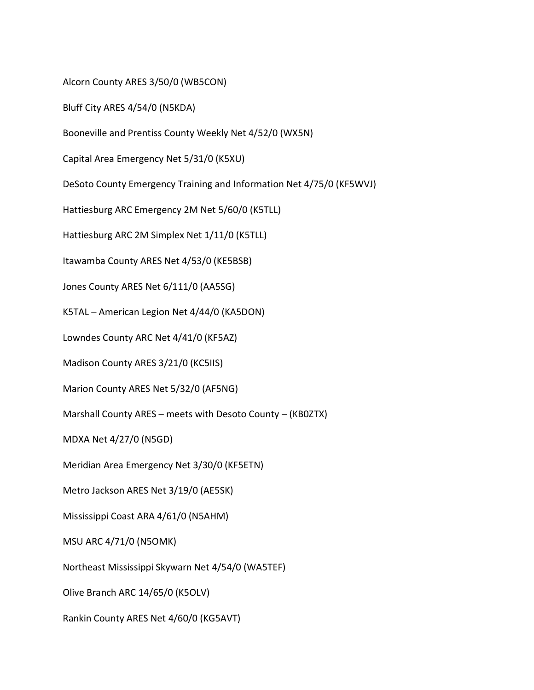Alcorn County ARES 3/50/0 (WB5CON)

Bluff City ARES 4/54/0 (N5KDA)

Booneville and Prentiss County Weekly Net 4/52/0 (WX5N)

Capital Area Emergency Net 5/31/0 (K5XU)

DeSoto County Emergency Training and Information Net 4/75/0 (KF5WVJ)

Hattiesburg ARC Emergency 2M Net 5/60/0 (K5TLL)

Hattiesburg ARC 2M Simplex Net 1/11/0 (K5TLL)

Itawamba County ARES Net 4/53/0 (KE5BSB)

Jones County ARES Net 6/111/0 (AA5SG)

K5TAL – American Legion Net 4/44/0 (KA5DON)

Lowndes County ARC Net 4/41/0 (KF5AZ)

Madison County ARES 3/21/0 (KC5IIS)

Marion County ARES Net 5/32/0 (AF5NG)

Marshall County ARES – meets with Desoto County – (KB0ZTX)

MDXA Net 4/27/0 (N5GD)

Meridian Area Emergency Net 3/30/0 (KF5ETN)

Metro Jackson ARES Net 3/19/0 (AE5SK)

Mississippi Coast ARA 4/61/0 (N5AHM)

MSU ARC 4/71/0 (N5OMK)

Northeast Mississippi Skywarn Net 4/54/0 (WA5TEF)

Olive Branch ARC 14/65/0 (K5OLV)

Rankin County ARES Net 4/60/0 (KG5AVT)